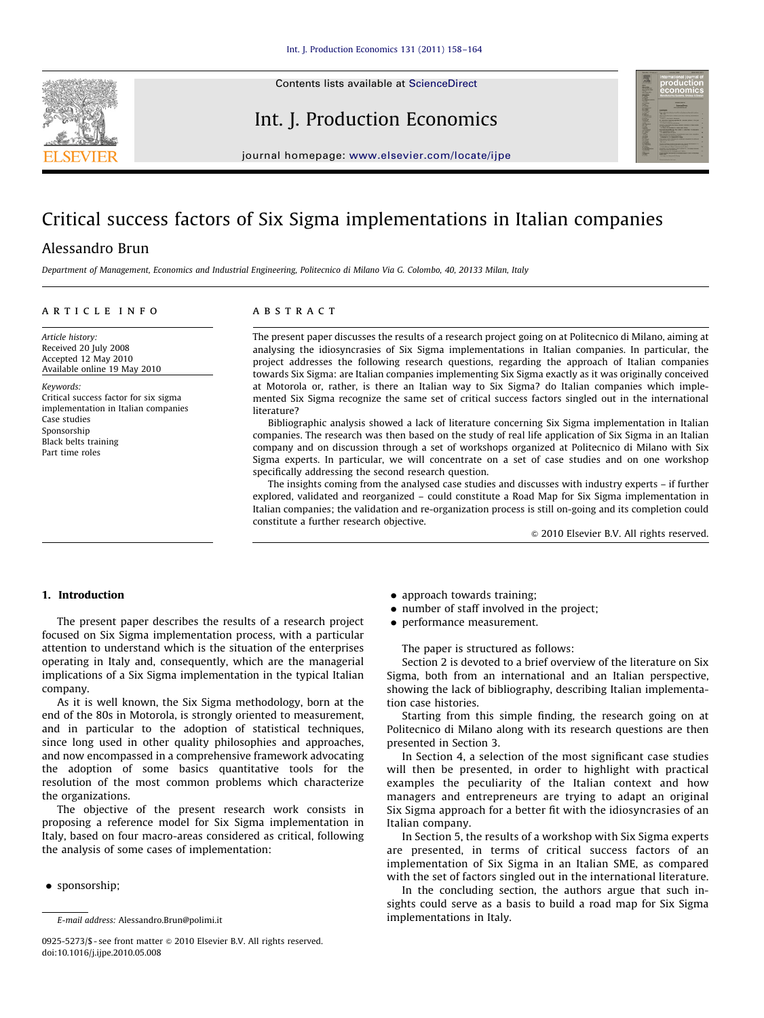

Contents lists available at ScienceDirect

Int. J. Production Economics



journal homepage: <www.elsevier.com/locate/ijpe>

## Critical success factors of Six Sigma implementations in Italian companies

### Alessandro Brun

Department of Management, Economics and Industrial Engineering, Politecnico di Milano Via G. Colombo, 40, 20133 Milan, Italy

#### article info

Article history: Received 20 July 2008 Accepted 12 May 2010 Available online 19 May 2010

Keywords:

Critical success factor for six sigma implementation in Italian companies Case studies Sponsorship Black belts training Part time roles

#### **ABSTRACT**

The present paper discusses the results of a research project going on at Politecnico di Milano, aiming at analysing the idiosyncrasies of Six Sigma implementations in Italian companies. In particular, the project addresses the following research questions, regarding the approach of Italian companies towards Six Sigma: are Italian companies implementing Six Sigma exactly as it was originally conceived at Motorola or, rather, is there an Italian way to Six Sigma? do Italian companies which implemented Six Sigma recognize the same set of critical success factors singled out in the international literature?

Bibliographic analysis showed a lack of literature concerning Six Sigma implementation in Italian companies. The research was then based on the study of real life application of Six Sigma in an Italian company and on discussion through a set of workshops organized at Politecnico di Milano with Six Sigma experts. In particular, we will concentrate on a set of case studies and on one workshop specifically addressing the second research question.

The insights coming from the analysed case studies and discusses with industry experts – if further explored, validated and reorganized – could constitute a Road Map for Six Sigma implementation in Italian companies; the validation and re-organization process is still on-going and its completion could constitute a further research objective.

 $\odot$  2010 Elsevier B.V. All rights reserved.

#### 1. Introduction

The present paper describes the results of a research project focused on Six Sigma implementation process, with a particular attention to understand which is the situation of the enterprises operating in Italy and, consequently, which are the managerial implications of a Six Sigma implementation in the typical Italian company.

As it is well known, the Six Sigma methodology, born at the end of the 80s in Motorola, is strongly oriented to measurement, and in particular to the adoption of statistical techniques, since long used in other quality philosophies and approaches, and now encompassed in a comprehensive framework advocating the adoption of some basics quantitative tools for the resolution of the most common problems which characterize the organizations.

The objective of the present research work consists in proposing a reference model for Six Sigma implementation in Italy, based on four macro-areas considered as critical, following the analysis of some cases of implementation:

 $\bullet$  sponsorship;

- approach towards training;
- number of staff involved in the project;
- performance measurement.

The paper is structured as follows:

Section 2 is devoted to a brief overview of the literature on Six Sigma, both from an international and an Italian perspective, showing the lack of bibliography, describing Italian implementation case histories.

Starting from this simple finding, the research going on at Politecnico di Milano along with its research questions are then presented in Section 3.

In Section 4, a selection of the most significant case studies will then be presented, in order to highlight with practical examples the peculiarity of the Italian context and how managers and entrepreneurs are trying to adapt an original Six Sigma approach for a better fit with the idiosyncrasies of an Italian company.

In Section 5, the results of a workshop with Six Sigma experts are presented, in terms of critical success factors of an implementation of Six Sigma in an Italian SME, as compared with the set of factors singled out in the international literature.

In the concluding section, the authors argue that such insights could serve as a basis to build a road map for Six Sigma implementations in Italy.

E-mail address: [Alessandro.Brun@polimi.it](mailto:Alessandro.Brun@polimi.it)

<sup>0925-5273/\$ -</sup> see front matter @ 2010 Elsevier B.V. All rights reserved. doi:[10.1016/j.ijpe.2010.05.008](dx.doi.org/10.1016/j.ijpe.2010.05.008)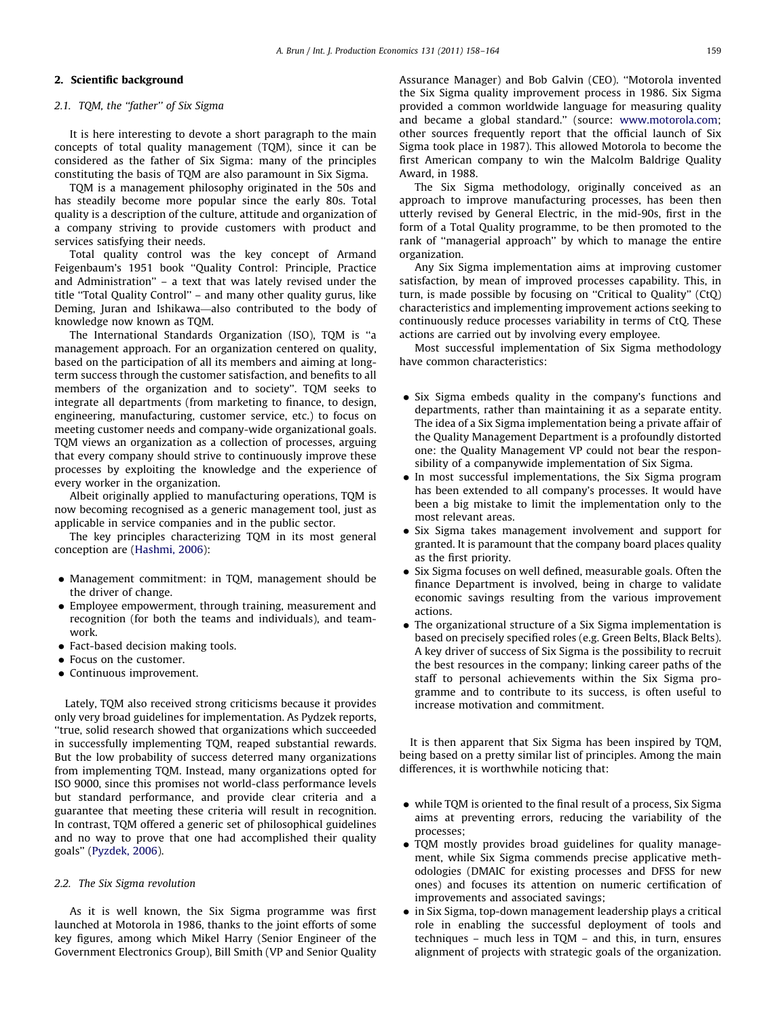#### 2. Scientific background

#### 2.1. TOM, the "father" of Six Sigma

It is here interesting to devote a short paragraph to the main concepts of total quality management (TQM), since it can be considered as the father of Six Sigma: many of the principles constituting the basis of TQM are also paramount in Six Sigma.

TQM is a management philosophy originated in the 50s and has steadily become more popular since the early 80s. Total quality is a description of the culture, attitude and organization of a company striving to provide customers with product and services satisfying their needs.

Total quality control was the key concept of Armand Feigenbaum's 1951 book ''Quality Control: Principle, Practice and Administration'' – a text that was lately revised under the title ''Total Quality Control'' – and many other quality gurus, like Deming, Juran and Ishikawa—also contributed to the body of knowledge now known as TQM.

The International Standards Organization (ISO), TQM is ''a management approach. For an organization centered on quality, based on the participation of all its members and aiming at longterm success through the customer satisfaction, and benefits to all members of the organization and to society''. TQM seeks to integrate all departments (from marketing to finance, to design, engineering, manufacturing, customer service, etc.) to focus on meeting customer needs and company-wide organizational goals. TQM views an organization as a collection of processes, arguing that every company should strive to continuously improve these processes by exploiting the knowledge and the experience of every worker in the organization.

Albeit originally applied to manufacturing operations, TQM is now becoming recognised as a generic management tool, just as applicable in service companies and in the public sector.

The key principles characterizing TQM in its most general conception are [\(Hashmi, 2006](#page--1-0)):

- Management commitment: in TQM, management should be the driver of change.
- Employee empowerment, through training, measurement and recognition (for both the teams and individuals), and teamwork.
- Fact-based decision making tools.
- Focus on the customer.
- Continuous improvement.

Lately, TQM also received strong criticisms because it provides only very broad guidelines for implementation. As Pydzek reports, ''true, solid research showed that organizations which succeeded in successfully implementing TQM, reaped substantial rewards. But the low probability of success deterred many organizations from implementing TQM. Instead, many organizations opted for ISO 9000, since this promises not world-class performance levels but standard performance, and provide clear criteria and a guarantee that meeting these criteria will result in recognition. In contrast, TQM offered a generic set of philosophical guidelines and no way to prove that one had accomplished their quality goals'' ([Pyzdek, 2006\)](#page--1-0).

#### 2.2. The Six Sigma revolution

As it is well known, the Six Sigma programme was first launched at Motorola in 1986, thanks to the joint efforts of some key figures, among which Mikel Harry (Senior Engineer of the Government Electronics Group), Bill Smith (VP and Senior Quality Assurance Manager) and Bob Galvin (CEO). ''Motorola invented the Six Sigma quality improvement process in 1986. Six Sigma provided a common worldwide language for measuring quality and became a global standard.'' (source: [www.motorola.com;](www.motorola.com) other sources frequently report that the official launch of Six Sigma took place in 1987). This allowed Motorola to become the first American company to win the Malcolm Baldrige Quality Award, in 1988.

The Six Sigma methodology, originally conceived as an approach to improve manufacturing processes, has been then utterly revised by General Electric, in the mid-90s, first in the form of a Total Quality programme, to be then promoted to the rank of ''managerial approach'' by which to manage the entire organization.

Any Six Sigma implementation aims at improving customer satisfaction, by mean of improved processes capability. This, in turn, is made possible by focusing on ''Critical to Quality'' (CtQ) characteristics and implementing improvement actions seeking to continuously reduce processes variability in terms of CtQ. These actions are carried out by involving every employee.

Most successful implementation of Six Sigma methodology have common characteristics:

- Six Sigma embeds quality in the company's functions and departments, rather than maintaining it as a separate entity. The idea of a Six Sigma implementation being a private affair of the Quality Management Department is a profoundly distorted one: the Quality Management VP could not bear the responsibility of a companywide implementation of Six Sigma.
- In most successful implementations, the Six Sigma program has been extended to all company's processes. It would have been a big mistake to limit the implementation only to the most relevant areas.
- Six Sigma takes management involvement and support for granted. It is paramount that the company board places quality as the first priority.
- Six Sigma focuses on well defined, measurable goals. Often the finance Department is involved, being in charge to validate economic savings resulting from the various improvement actions.
- The organizational structure of a Six Sigma implementation is based on precisely specified roles (e.g. Green Belts, Black Belts). A key driver of success of Six Sigma is the possibility to recruit the best resources in the company; linking career paths of the staff to personal achievements within the Six Sigma programme and to contribute to its success, is often useful to increase motivation and commitment.

It is then apparent that Six Sigma has been inspired by TQM, being based on a pretty similar list of principles. Among the main differences, it is worthwhile noticing that:

- while TQM is oriented to the final result of a process, Six Sigma aims at preventing errors, reducing the variability of the processes;
- TQM mostly provides broad guidelines for quality management, while Six Sigma commends precise applicative methodologies (DMAIC for existing processes and DFSS for new ones) and focuses its attention on numeric certification of improvements and associated savings;
- $\bullet$  in Six Sigma, top-down management leadership plays a critical role in enabling the successful deployment of tools and techniques – much less in TQM – and this, in turn, ensures alignment of projects with strategic goals of the organization.